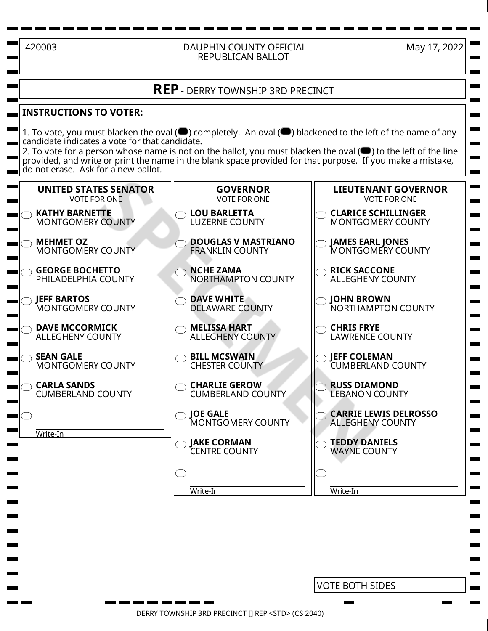## 420003 DAUPHIN COUNTY OFFICIAL REPUBLICAN BALLOT

## **REP**- DERRY TOWNSHIP 3RD PRECINCT

## **INSTRUCTIONS TO VOTER:**

1. To vote, you must blacken the oval  $($   $\bullet)$  completely. An oval  $($   $\bullet)$  blackened to the left of the name of any candidate indicates a vote for that candidate.

2. To vote for a person whose name is not on the ballot, you must blacken the oval  $($ **•**) to the left of the line provided, and write or print the name in the blank space provided for that purpose. If you make a mistake, do not erase. Ask for a new ballot.